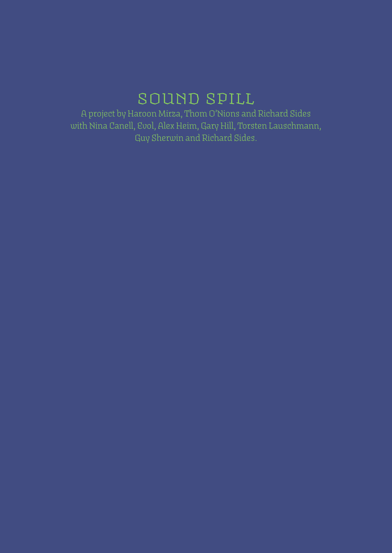## **Sound Spill**

**A project by Haroon Mirza, Thom O'Nions and Richard Sides with Nina Canell, Evol, Alex Heim, Gary Hill, Torsten Lauschmann, Guy Sherwin and Richard Sides.**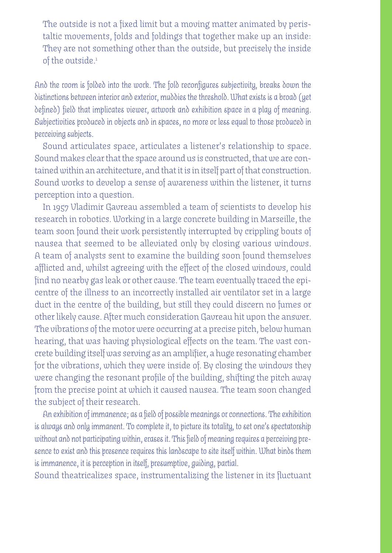**The outside is not a fixed limit but a moving matter animated by peristaltic movements, folds and foldings that together make up an inside: They are not something other than the outside, but precisely the inside of the outside. 1**

*And the room is folded into the work. The fold reconfigures subjectivity, breaks down the distinctions between interiorandexterior,muddiesthethreshold. Whatexistsisa broad(yet defined) field that implicates viewer, artwork and exhibition space in a play of meaning. Subjectivities producedin objectsandin spaces, no moreor less equal tothose producedin* perceiving subjects.

**Sound articulates space, articulates a listener's relationship to space. Soundmakes clearthatthe space around us is constructed,thatwe are containedwithin an architecture, and thatitis in itself part ofthat construction. Sound works to develop a sense of awareness within the listener, it turns perception into a question.**

**In 1957 Vladimir Gavreau assembled a team of scientists to develop his research in robotics. Working in a large concrete building in Marseille, the team soon found their work persistently interrupted by crippling bouts of nausea that seemed to be alleviated only by closing various windows. A team of analysts sent to examine the building soon found themselves afflicted and, whilst agreeing with the effect of the closed windows, could find no nearby gas leak or other cause. The team eventually traced the epicentre of the illness to an incorrectly installed air ventilator set in a large duct in the centre of the building, but still they could discern no fumes or otherlikely cause. After much consideration Gavreau hit upon the answer. The vibrations of themotorwere occurring at a precise pitch, belowhuman hearing, that was having physiological effects on the team. The vast concrete building itselfwas serving as an amplifier, a huge resonating chamber for the vibrations, which they were inside of. By closing the windows they were changing the resonant profile of the building, shifting the pitch away from the precise point at which it caused nausea. The team soon changed the subject of theirresearch.**

*An exhibition of immanence;asafieldof possiblemeaningsorconnections. Theexhibition isalwaysandonlyimmanent. Tocompleteit, to pictureits totality, tosetone's spectatorship* without and not participating within, erases it. This field of meaning requires a perceiving pre*sence toexistandthis presence requires this landscape tosite itself within. What binds them is immanence, it is perception in itself, presumptive,guiding, partial.*

**Sound theatricalizes space, instrumentalizing the listener in its fluctuant**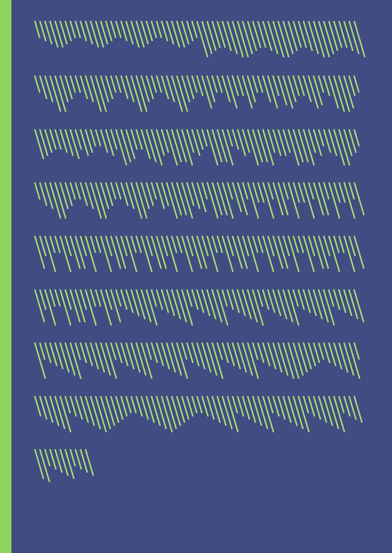**IIntiffuti**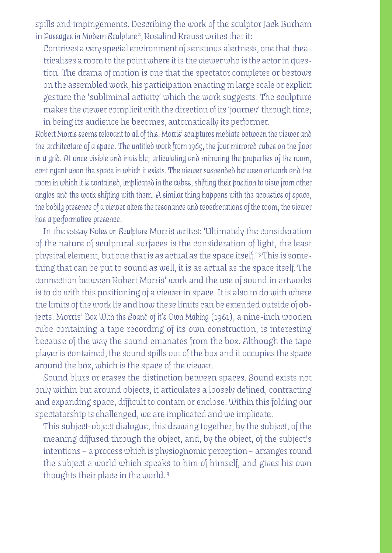**spills and impingements. Describing the work of the sculptor Jack Burham in** *Passages in Modern Sculpture* **<sup>2</sup> , Rosalind Krausswrites that it:**

**Contrives a very special environment of sensuous alertness, one that theatricalizes a roomto the pointwhere itis the viewerwho is the actorin question. The drama of motion is one that the spectator completes or bestows on the assembledwork, his participation enacting in large scale or explicit gesture the 'subliminal activity' which the work suggests. The sculpture makes the viewer complicitwith the direction of its 'journey'through time; in being its audience he becomes, automatically its performer.**

*RobertMorrisseemsrelevant toallof this.Morris'sculpturesmediate between theviewerand thearchitectureofaspace. Theuntitled workfrom 1965, thefour mirroredcubeson thefloor in a grid. At once visible and invisible; articulating and mirroring the properties of the room, contingentupon thespacein which itexists. Theviewer suspended between artworkandthe roomin which it iscontained, implicatedin thecubes,shiftingtheir position toview fromother anglesandthe workshifting with them. A similar thing happens with theacousticsof space, the* bodily presence of a viewer alters the resonance and reverberations of the room, the viewer *hasa performative presence.*

**In the essay** *Notes on Sculpture* **Morris writes: 'Ultimately the consideration of the nature of sculptural surfaces is the consideration of light, the least physical element, but one thatis as actual as the space itself.' 3This is something that can be put to sound as well, it is as actual as the space itself. The connection between Robert Morris' work and the use of sound in artworks is to do with this positioning of a viewerin space. It is also to do with where the limits ofthework lie and howthese limits can be extended outside of objects. Morris'** *Box With the Sound of it's Own Making* **(1961), a nine-inch wooden cube containing a tape recording of its own construction, is interesting because of the way the sound emanates from the box. Although the tape playeris contained, the sound spills out of the box and it occupies the space around the box, which is the space of the viewer.**

**Sound blurs or erases the distinction between spaces. Sound exists not only within but around objects, it articulates a loosely defined, contracting and expanding space, difficult to contain or enclose. Within this folding our spectatorship is challenged, we are implicated and we implicate.**

**This subject-object dialogue, this drawing together, by the subject, of the meaning diffused through the object, and, by the object, of the subject's intentions – a processwhich is physiognomic perception – arranges round the subject a world which speaks to him of himself, and gives his own thoughts their place in the world. 4**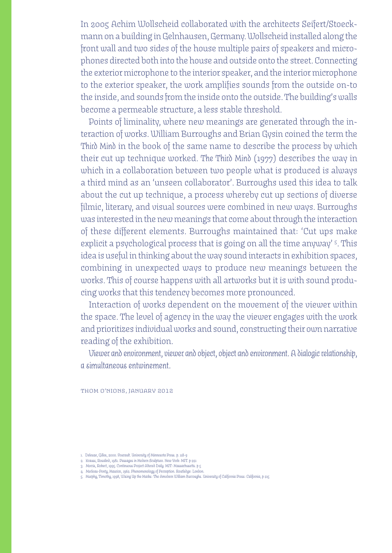**In 2005 Achim Wollscheid collaborated with the architects Seifert/Stoeckmann on a building inGelnhausen,Germany. Wollscheid installed along the front wall and two sides of the house multiple pairs of speakers and microphones directed both into the house and outside onto the street. Connecting the exteriormicrophone to the interior speaker, and the interiormicrophone to the exterior speaker, the work amplifies sounds from the outside on-to the inside, and sounds fromthe inside onto the outside.The building'swalls become a permeable structure, a less stable threshold.**

**Points of liminality, where new meanings are generated through the interaction of works. William Burroughs and Brian Gysin coined the term the** *Third Mind* **in the book of the same name to describe the process by which their cut up technique worked.** *The Third Mind* **(1977) describes the way in which in a collaboration between two people what is produced is always a third mind as an 'unseen collaborator'. Burroughs used this idea to talk about the cut up technique, a process whereby cut up sections of diverse filmic, literary, and visual sources were combined in new ways. Burroughs was interested in the newmeanings that come aboutthrough the interaction of these different elements. Burroughs maintained that: 'Cut ups make explicit a psychological process that is going on all the time anyway' <sup>5</sup> . This idea is useful in thinking abouttheway sound interacts in exhibition spaces, combining in unexpected ways to produce new meanings between the works. This of course happens with all artworks but it is with sound producing works that this tendency becomes more pronounced.**

**Interaction of works dependent on the movement of the viewer within the space. The level of agency in the way the viewer engages with the work and prioritizes individualworks and sound, constructing theirown narrative reading of the exhibition.**

*Viewerandenvironment,viewerandobject,objectandenvironment. A dialogicrelationship, asimultaneous entwinement.*

**Thom O'nions, january 2012**

*<sup>1.</sup> Deleuze, Gilles,2000. Foucault. Universityof Minnesota Press. p. 118-9*

*<sup>2.</sup> Krauss, Rosalind, 1981. Passages in Modern Sculpture. New York: MIT. p 221*

*<sup>3.</sup> Morris, Robert, 1995. Continuous Project Altered Daily. MIT: Massachusetts. p 5*

*<sup>4.</sup> Merleau-Ponty, Maurice, 1962. Phenomenologyof Perception. Routledge: London.*

<sup>5.</sup> Murphy, Timothy, 1998, Wising Up the Marks: The Amobern William Burroughs. University of California Press: California, p 215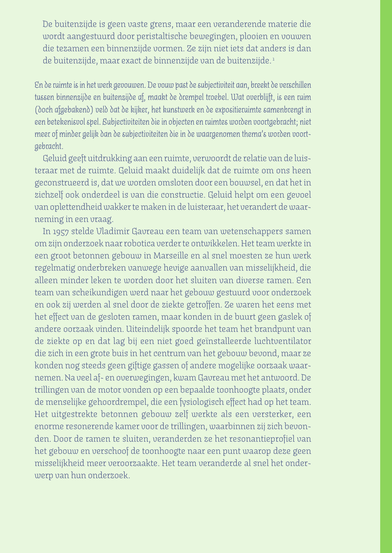**De buitenzijde is geen vaste grens, maar een veranderende materie die wordt aangestuurd door peristaltische bewegingen, plooien en vouwen die tezamen een binnenzijde vormen. Ze zijn niet iets dat anders is dan de buitenzijde, maar exact de binnenzijde van de buitenzijde. 1**

*En deruimteisin het werkgevouwen. Devouw pastdesubjectiviteitaan, breektdeverschillen tussen binnenzijde en buitenzijde af, maakt de drempel troebel. Wat overblijft, is een ruim (doch afgebakend) veld dat de kijker, hetkunstwerken de expositieruimte samenbrengt in een betekenisvolspel. Subjectiviteiten diein objecten en ruimtes worden voortgebracht; niet meerof mindergelijkdan desubjectiviteiten diein de waargenomen thema's worden voortgebracht.*

**Geluid geeft uitdrukking aan een ruimte, verwoordt de relatie van de luisteraar met de ruimte. Geluid maakt duidelijk dat de ruimte om ons heen geconstrueerd is, dat we worden omsloten door een bouwsel, en dat het in zichzelf ook onderdeel is van die constructie. Geluid helpt om een gevoel van oplettendheidwakkertemaken in de luisteraar, het verandert dewaarneming in een vraag.**

**In 1957 stelde Vladimir Gavreau een team van wetenschappers samen omzijn onderzoek naarrobotica verderte ontwikkelen. Het teamwerkte in een groot betonnen gebouw in Marseille en al snel moesten ze hun werk regelmatig onderbreken vanwege hevige aanvallen van misselijkheid, die alleen minder leken te worden door het sluiten van diverse ramen. Een team van scheikundigen werd naar het gebouw gestuurd voor onderzoek en ook zij werden al snel door de ziekte getroffen. Ze waren het eens met het effect van de gesloten ramen, maar konden in de buurt geen gaslek of andere oorzaak vinden. Uiteindelijk spoorde het team het brandpunt van de ziekte op en dat lag bij een niet goed geïnstalleerde luchtventilator die zich in een grote buis in het centrum van het gebouw bevond, maar ze konden nog steeds geen giftige gassen of andere mogelijke oorzaak waarnemen. Na veel af- en overwegingen, kwam Gavreau met het antwoord. De trillingen van de motor vonden op een bepaalde toonhoogte plaats, onder de menselijke gehoordrempel, die een fysiologisch effect had op het team. Het uitgestrekte betonnen gebouw zelf werkte als een versterker, een enorme resonerende kamer voor de trillingen, waarbinnen zij zich bevonden. Door de ramen te sluiten, veranderden ze het resonantieprofiel van het gebouw en verschoof de toonhoogte naar een punt waarop deze geen misselijkheid meer veroorzaakte. Het team veranderde al snel het onderwerp van hun onderzoek.**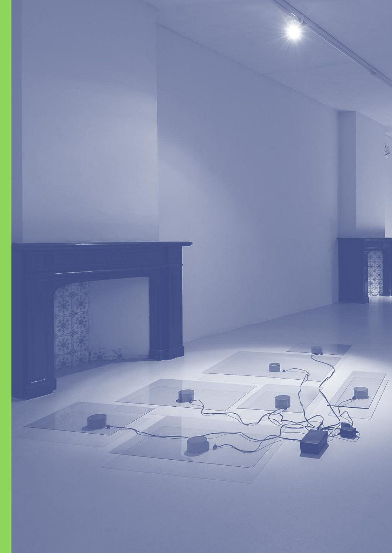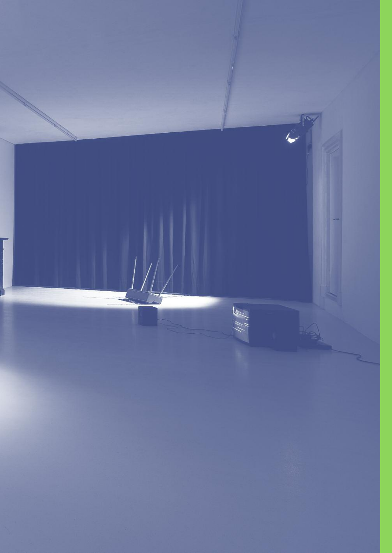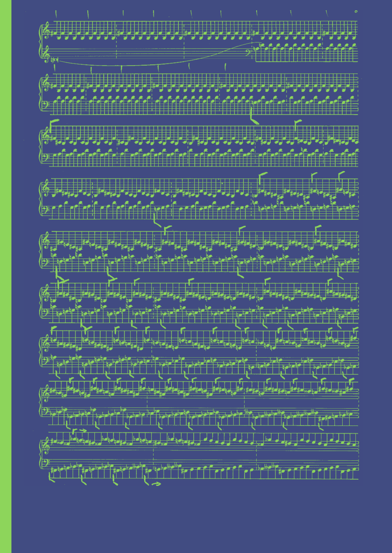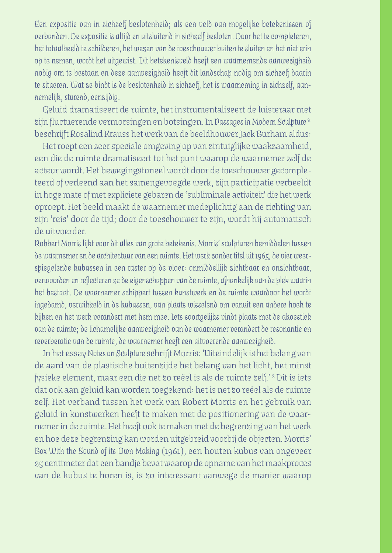*Een expositie van in zichzelf beslotenheid; als een veld van mogelijke betekenissen of verbanden. Deexpositieisaltijden uitsluitendin zichzelf besloten. Door het tecompleteren, het totaalbeeldteschilderen, het wezen van detoeschouwer buiten tesluiten en het nieterin op te nemen, wordt hetuitgewist. Dit betekenisveld heeft een waarnemendeaanwezigheid nodig om te bestaan en deze aanwezigheid heeft dit landschap nodig om zichzelf daarin te situeren. Wat ze bindt is de beslotenheid in zichzelf, het is waarneming in zichzelf, aannemelijk, sturend, eenzijdig.*

**Geluid dramatiseert de ruimte, het instrumentaliseert de luisteraar met zijn fluctuerende vermorsingen en botsingen. In** *PassagesinModern Sculpture* **2. beschrijft Rosalind Krauss hetwerk van de beeldhouwerJack Burhamaldus:**

**Hetroept een zeer speciale omgeving op van zintuiglijkewaakzaamheid, een die de ruimte dramatiseert tot het punt waarop de waarnemer zelf de acteur wordt. Het bewegingstoneel wordt door de toeschouwer gecompleteerd of verleend aan het samengevoegde werk, zijn participatie verbeeldt in hogemate ofmet expliciete gebaren de 'subliminale activiteit' die hetwerk oproept. Het beeld maakt de waarnemer medeplichtig aan de richting van zijn 'reis' door de tijd; door de toeschouwer te zijn, wordt hij automatisch de uitvoerder.**

*RobbertMorris lijktvoorditallesvan grote betekenis.Morris' sculpturen bemiddelen tussen*  $\delta$ e waarnemer en  $\delta$ e architectuur van een ruimte. Het werk zon $\delta$ er titel uit 1965,  $\delta$ e vier weer*spiegelende kubussen in een raster op de vloer: onmiddellijk zichtbaar en onzichtbaar, verwoorden en reflecteren zedeeigenschappen van deruimte,afhankelijkvan de plek waarin het bestaat. De waarnemer schippert tussen kunstwerk en de ruimte waardoor het wordt ingedamd, verwikkeld in de kubussen, van plaats wisselend om vanuit een andere hoek te kijken en het werk verandert met hem mee. Iets soortgelijks vindt plaats met de akoestiek* van de ruimte; de lichamelijke aanwezigheid van de waarnemer verandert de resonantie en reverberatie van de ruimte, de waarnemer heeft een uitvoerende aanwezigheid.

**In het essay** *Noteson Sculpture* **schrijftMorris: 'Uiteindelijk is het belang van de aard van de plastische buitenzijde het belang van het licht, het minst fysieke element, maar een die net zo reëel is als de ruimte zelf.' <sup>3</sup> Dit is iets dat ook aan geluid kan worden toegekend: het is net zo reëel als de ruimte zelf. Het verband tussen het werk van Robert Morris en het gebruik van geluid in kunstwerken heeft te maken met de positionering van de waarnemerin de ruimte.Het heeft ook temakenmet de begrenzing van hetwerk en hoe deze begrenzing kanworden uitgebreid voorbij de objecten. Morris'** *Box With the Sound of its Own Making* **(1961), een houten kubus van ongeveer 25 centimeter dat een bandje bevatwaarop de opname van hetmaakproces van de kubus te horen is, is zo interessant vanwege de manier waarop**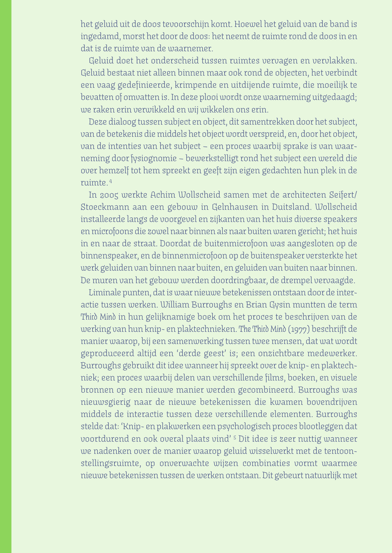**het geluid uit de doos tevoorschijn komt. Hoewel het geluid van de band is ingedamd,morst het door de doos: het neemt de ruimte rond de doos in en dat is de ruimte van de waarnemer.**

**Geluid doet het onderscheid tussen ruimtes vervagen en vervlakken. Geluid bestaat niet alleen binnen maar ook rond de objecten, het verbindt een vaag gedefinieerde, krimpende en uitdijende ruimte, die moeilijk te bevatten of omvatten is. In deze plooiwordt onzewaarneming uitgedaagd; we raken erin verwikkeld en wij wikkelen ons erin.**

**Deze dialoog tussen subject en object, dit samentrekken door het subject, van de betekenis diemiddels het objectwordt verspreid, en, doorhet object, van de intenties van het subject – een proces waarbij sprake is van waarneming doorfysiognomie – bewerkstelligt rond het subject een wereld die over hemzelf tot hem spreekt en geeft zijn eigen gedachten hun plek in de ruimte. 4**

**In 2005 werkte Achim Wollscheid samen met de architecten Seifert/ Stoeckmann aan een gebouw in Gelnhausen in Duitsland. Wollscheid installeerde langs de voorgevel en zijkanten van het huis diverse speakers enmicrofoons die zowel naar binnen als naar buitenwaren gericht; het huis in en naar de straat. Doordat de buitenmicrofoon was aangesloten op de binnenspeaker, en de binnenmicrofoon op de buitenspeaker versterkte het werk geluiden van binnen naar buiten, en geluiden van buiten naar binnen. De muren van het gebouw werden doordringbaar, de drempel vervaagde.**

**Liminale punten, datiswaarnieuwe betekenissen ontstaan doorde interactie tussen werken. William Burroughs en Brian Gysin muntten de term** *Third Mind* **in hun gelijknamige boek om het proces te beschrijven van de werking van hun knip- en plaktechnieken.** *The ThirdMind***(1977) beschrijft de manierwaarop, bij een samenwerking tussen twee mensen, dat wat wordt geproduceerd altijd een 'derde geest' is; een onzichtbare medewerker. Burroughs gebruikt dit ideewanneer hij spreekt over de knip- en plaktechniek; een proces waarbij delen van verschillende films, boeken, en visuele bronnen op een nieuwe manier werden gecombineerd. Burroughs was nieuwsgierig naar de nieuwe betekenissen die kwamen bovendrijven middels de interactie tussen deze verschillende elementen. Burroughs stelde dat: 'Knip- en plakwerken een psychologisch proces blootleggen dat voortdurend en ook overal plaats vind' <sup>5</sup> Dit idee is zeer nuttig wanneer we nadenken over de manier waarop geluid wisselwerkt met de tentoonstellingsruimte, op onverwachte wijzen combinaties vormt waarmee nieuwe betekenissen tussen dewerken ontstaan. Dit gebeurt natuurlijkmet**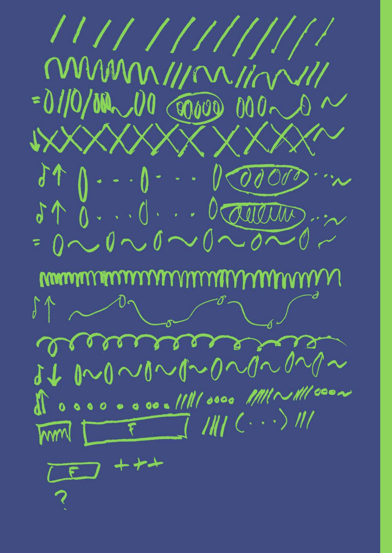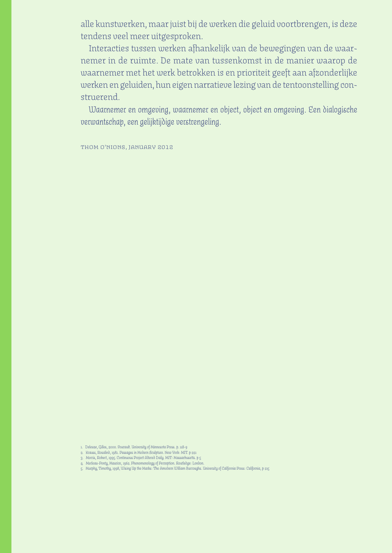**alle kunstwerken, maarjuist bij dewerken die geluid voortbrengen, is deze tendens veel meer uitgesproken.**

**Interacties tussen werken afhankelijk van de bewegingen van de waarnemer in de ruimte. De mate van tussenkomst in de manier waarop de waarnemer met het werk betrokken is en prioriteit geeft aan afzonderlijke werken en geluiden, hun eigen narratieve lezing van de tentoonstelling construerend.**

*Waarnemer en omgeving, waarnemer en object, object en omgeving. Een dialogische verwantschap, een gelijktijdigeverstrengeling.*

**Thom O'nions, january 2012**

*<sup>1.</sup> Deleuze, Gilles,2000. Foucault. Universityof Minnesota Press. p. 118-9*

*<sup>2.</sup> Krauss, Rosalind, 1981. Passages in Modern Sculpture. New York: MIT. p 221*

<sup>3.</sup> Mortis, Robert, 1995. Continuous Project Altereb Daily, MIT: Massachusetts. p 5<br>4. Merleau-Ponty, Maurice, 1965. Phenomenology of Perception. Routlebge: London.<br>5. Murphy, Timothy, 1998, Ulising Up the Marks: The Amober